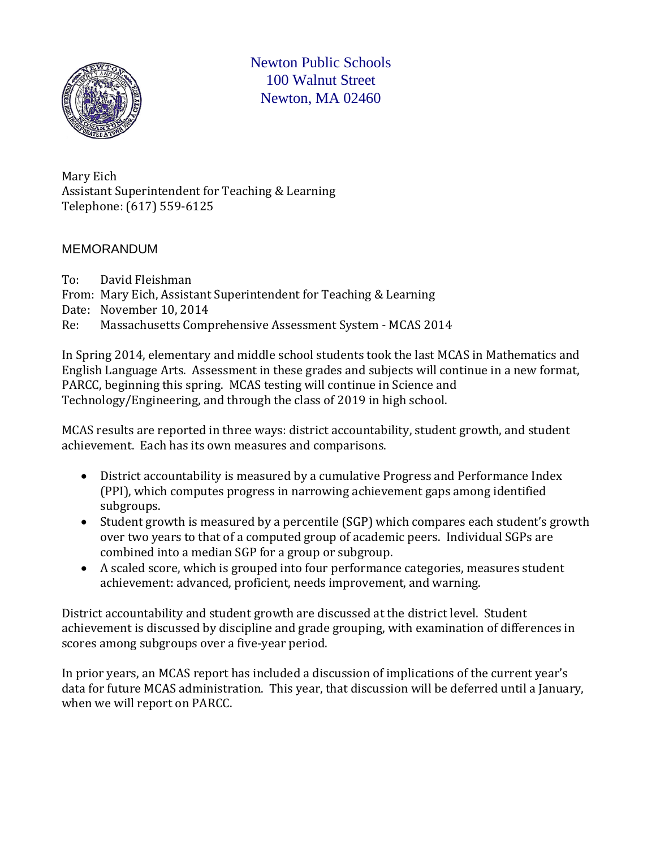

Newton Public Schools 100 Walnut Street Newton, MA 02460

Mary Eich Assistant Superintendent for Teaching & Learning Telephone: (617) 559-6125

#### MEMORANDUM

To: David Fleishman From: Mary Eich, Assistant Superintendent for Teaching & Learning Date: November 10, 2014<br>Re: Massachusetts Comp Massachusetts Comprehensive Assessment System - MCAS 2014

In Spring 2014, elementary and middle school students took the last MCAS in Mathematics and English Language Arts. Assessment in these grades and subjects will continue in a new format, PARCC, beginning this spring. MCAS testing will continue in Science and Technology/Engineering, and through the class of 2019 in high school.

MCAS results are reported in three ways: district accountability, student growth, and student achievement. Each has its own measures and comparisons.

- District accountability is measured by a cumulative Progress and Performance Index (PPI), which computes progress in narrowing achievement gaps among identified subgroups.
- Student growth is measured by a percentile (SGP) which compares each student's growth over two years to that of a computed group of academic peers. Individual SGPs are combined into a median SGP for a group or subgroup.
- A scaled score, which is grouped into four performance categories, measures student achievement: advanced, proficient, needs improvement, and warning.

District accountability and student growth are discussed at the district level. Student achievement is discussed by discipline and grade grouping, with examination of differences in scores among subgroups over a five-year period.

In prior years, an MCAS report has included a discussion of implications of the current year's data for future MCAS administration. This year, that discussion will be deferred until a January, when we will report on PARCC.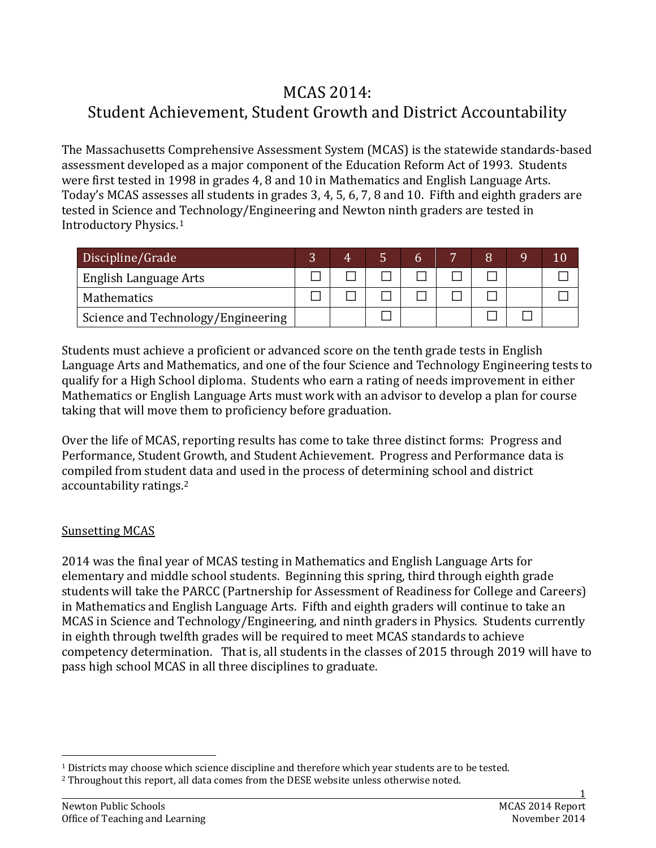# MCAS 2014: Student Achievement, Student Growth and District Accountability

The Massachusetts Comprehensive Assessment System (MCAS) is the statewide standards-based assessment developed as a major component of the Education Reform Act of 1993. Students were first tested in 1998 in grades 4, 8 and 10 in Mathematics and English Language Arts. Today's MCAS assesses all students in grades 3, 4, 5, 6, 7, 8 and 10. Fifth and eighth graders are tested in Science and Technology/Engineering and Newton ninth graders are tested in Introductory Physics.[1](#page-1-0)

| Discipline/Grade                   | 4 |  |  | Q | 10 |
|------------------------------------|---|--|--|---|----|
| English Language Arts              |   |  |  |   |    |
| Mathematics                        |   |  |  |   |    |
| Science and Technology/Engineering |   |  |  |   |    |

Students must achieve a proficient or advanced score on the tenth grade tests in English Language Arts and Mathematics, and one of the four Science and Technology Engineering tests to qualify for a High School diploma. Students who earn a rating of needs improvement in either Mathematics or English Language Arts must work with an advisor to develop a plan for course taking that will move them to proficiency before graduation.

Over the life of MCAS, reporting results has come to take three distinct forms: Progress and Performance, Student Growth, and Student Achievement. Progress and Performance data is compiled from student data and used in the process of determining school and district accountability ratings.[2](#page-1-1)

#### Sunsetting MCAS

2014 was the final year of MCAS testing in Mathematics and English Language Arts for elementary and middle school students. Beginning this spring, third through eighth grade students will take the PARCC (Partnership for Assessment of Readiness for College and Careers) in Mathematics and English Language Arts. Fifth and eighth graders will continue to take an MCAS in Science and Technology/Engineering, and ninth graders in Physics. Students currently in eighth through twelfth grades will be required to meet MCAS standards to achieve competency determination. That is, all students in the classes of 2015 through 2019 will have to pass high school MCAS in all three disciplines to graduate.

<span id="page-1-0"></span> <sup>1</sup> Districts may choose which science discipline and therefore which year students are to be tested.

<span id="page-1-1"></span><sup>2</sup> Throughout this report, all data comes from the DESE website unless otherwise noted.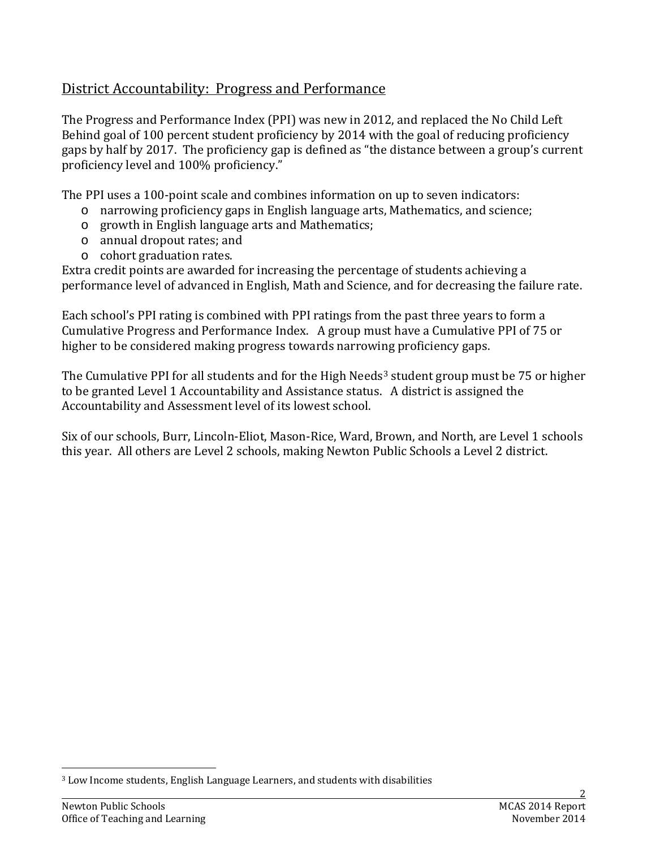# District Accountability: Progress and Performance

The Progress and Performance Index (PPI) was new in 2012, and replaced the No Child Left Behind goal of 100 percent student proficiency by 2014 with the goal of reducing proficiency gaps by half by 2017. The proficiency gap is defined as "the distance between a group's current proficiency level and 100% proficiency."

The PPI uses a 100-point scale and combines information on up to seven indicators:

- o narrowing proficiency gaps in English language arts, Mathematics, and science;
- o growth in English language arts and Mathematics;
- o annual dropout rates; and
- o cohort graduation rates.

Extra credit points are awarded for increasing the percentage of students achieving a performance level of advanced in English, Math and Science, and for decreasing the failure rate.

Each school's PPI rating is combined with PPI ratings from the past three years to form a Cumulative Progress and Performance Index. A group must have a Cumulative PPI of 75 or higher to be considered making progress towards narrowing proficiency gaps.

The Cumulative PPI for all students and for the High Needs<sup>[3](#page-2-0)</sup> student group must be 75 or higher to be granted Level 1 Accountability and Assistance status. A district is assigned the Accountability and Assessment level of its lowest school.

Six of our schools, Burr, Lincoln-Eliot, Mason-Rice, Ward, Brown, and North, are Level 1 schools this year. All others are Level 2 schools, making Newton Public Schools a Level 2 district.

<span id="page-2-0"></span> <sup>3</sup> Low Income students, English Language Learners, and students with disabilities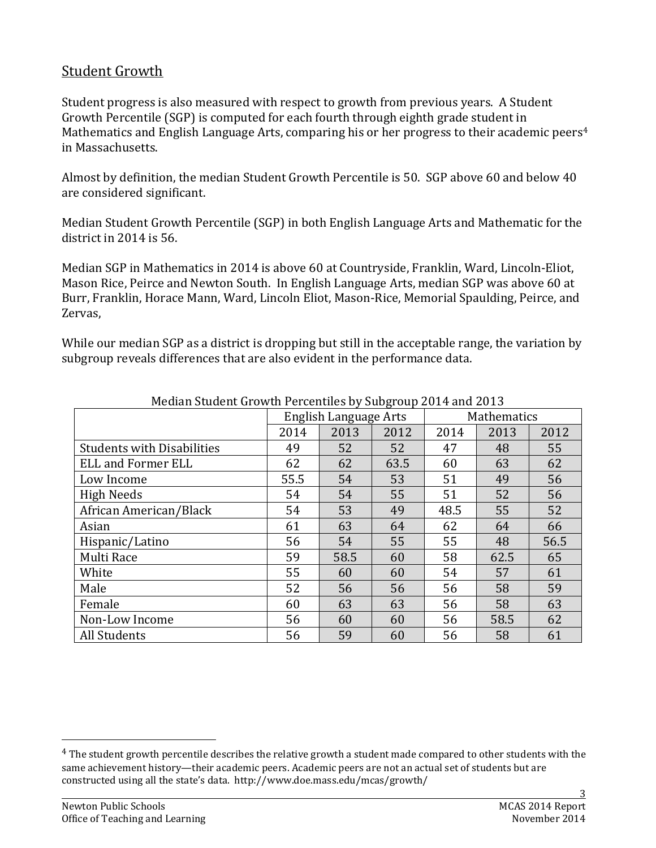# Student Growth

Student progress is also measured with respect to growth from previous years. A Student Growth Percentile (SGP) is computed for each fourth through eighth grade student in Mathematics and English Language Arts, comparing his or her progress to their academic peers<sup>[4](#page-3-0)</sup> in Massachusetts.

Almost by definition, the median Student Growth Percentile is 50. SGP above 60 and below 40 are considered significant.

Median Student Growth Percentile (SGP) in both English Language Arts and Mathematic for the district in 2014 is 56.

Median SGP in Mathematics in 2014 is above 60 at Countryside, Franklin, Ward, Lincoln-Eliot, Mason Rice, Peirce and Newton South. In English Language Arts, median SGP was above 60 at Burr, Franklin, Horace Mann, Ward, Lincoln Eliot, Mason-Rice, Memorial Spaulding, Peirce, and Zervas,

While our median SGP as a district is dropping but still in the acceptable range, the variation by subgroup reveals differences that are also evident in the performance data.

| <u>Median Student drowth i ertenthes by Subgroup 2014 and 2013</u> |      |                       |      |             |      |      |  |  |  |
|--------------------------------------------------------------------|------|-----------------------|------|-------------|------|------|--|--|--|
|                                                                    |      | English Language Arts |      | Mathematics |      |      |  |  |  |
|                                                                    | 2014 | 2013                  | 2012 | 2014        | 2013 | 2012 |  |  |  |
| <b>Students with Disabilities</b>                                  | 49   | 52                    | 52   | 47          | 48   | 55   |  |  |  |
| <b>ELL and Former ELL</b>                                          | 62   | 62                    | 63.5 | 60          | 63   | 62   |  |  |  |
| Low Income                                                         | 55.5 | 54                    | 53   | 51          | 49   | 56   |  |  |  |
| <b>High Needs</b>                                                  | 54   | 54                    | 55   | 51          | 52   | 56   |  |  |  |
| African American/Black                                             | 54   | 53                    | 49   | 48.5        | 55   | 52   |  |  |  |
| Asian                                                              | 61   | 63                    | 64   | 62          | 64   | 66   |  |  |  |
| Hispanic/Latino                                                    | 56   | 54                    | 55   | 55          | 48   | 56.5 |  |  |  |
| Multi Race                                                         | 59   | 58.5                  | 60   | 58          | 62.5 | 65   |  |  |  |
| White                                                              | 55   | 60                    | 60   | 54          | 57   | 61   |  |  |  |
| Male                                                               | 52   | 56                    | 56   | 56          | 58   | 59   |  |  |  |
| Female                                                             | 60   | 63                    | 63   | 56          | 58   | 63   |  |  |  |
| Non-Low Income                                                     | 56   | 60                    | 60   | 56          | 58.5 | 62   |  |  |  |
| All Students                                                       | 56   | 59                    | 60   | 56          | 58   | 61   |  |  |  |

#### Median Student Growth Percentiles by Subgroup 2014 and 2013

<span id="page-3-0"></span><sup>&</sup>lt;sup>4</sup> The student growth percentile describes the relative growth a student made compared to other students with the same achievement history—their academic peers. Academic peers are not an actual set of students but are constructed using all the state's data. http://www.doe.mass.edu/mcas/growth/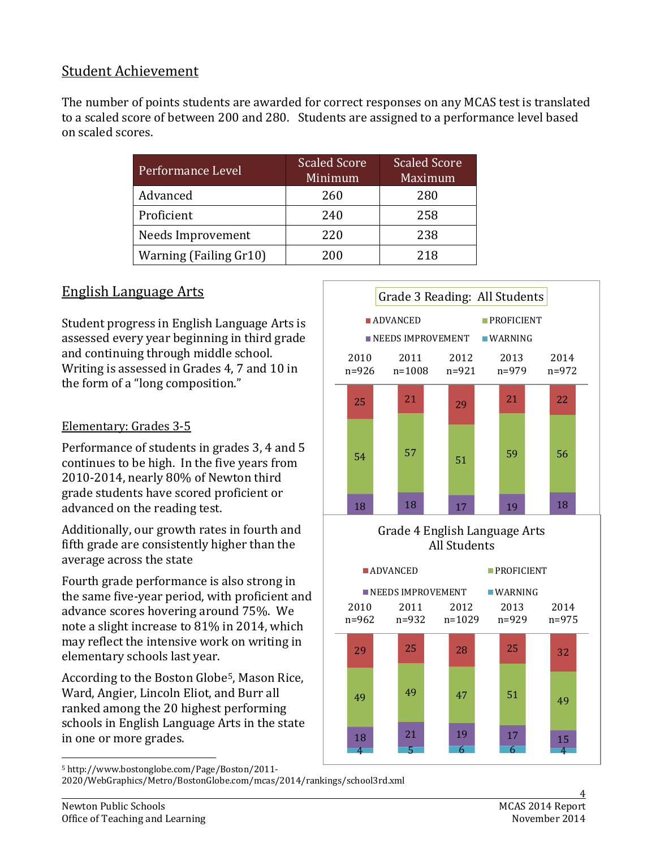# Student Achievement

The number of points students are awarded for correct responses on any MCAS test is translated to a scaled score of between 200 and 280. Students are assigned to a performance level based on scaled scores.

| Performance Level      | <b>Scaled Score</b><br>Minimum | <b>Scaled Score</b><br>Maximum |
|------------------------|--------------------------------|--------------------------------|
| Advanced               | 260                            | 280                            |
| Proficient             | 240                            | 258                            |
| Needs Improvement      | 220                            | 238                            |
| Warning (Failing Gr10) | 200                            | 218                            |

# English Language Arts

Student progress in English Language Arts is assessed every year beginning in third grade and continuing through middle school. Writing is assessed in Grades 4, 7 and 10 in the form of a "long composition."

## Elementary: Grades 3-5

Performance of students in grades 3, 4 and 5 continues to be high. In the five years from 2010-2014, nearly 80% of Newton third grade students have scored proficient or advanced on the reading test.

Additionally, our growth rates in fourth and fifth grade are consistently higher than the average across the state

Fourth grade performance is also strong in the same five-year period, with proficient and advance scores hovering around 75%. We note a slight increase to 81% in 2014, which may reflect the intensive work on writing in elementary schools last year.

According to the Boston Globe[5](#page-4-0), Mason Rice, Ward, Angier, Lincoln Eliot, and Burr all ranked among the 20 highest performing schools in English Language Arts in the state in one or more grades.



#### $G$  and  $G$   $F$   $G$   $i$   $k$   $I$   $g$   $g$   $g$   $g$   $g$   $g$   $g$   $h$   $g$ Grade 4 English Language Arts All Students



<span id="page-4-0"></span>5 http://www.bostonglobe.com/Page/Boston/2011-

2020/WebGraphics/Metro/BostonGlobe.com/mcas/2014/rankings/school3rd.xml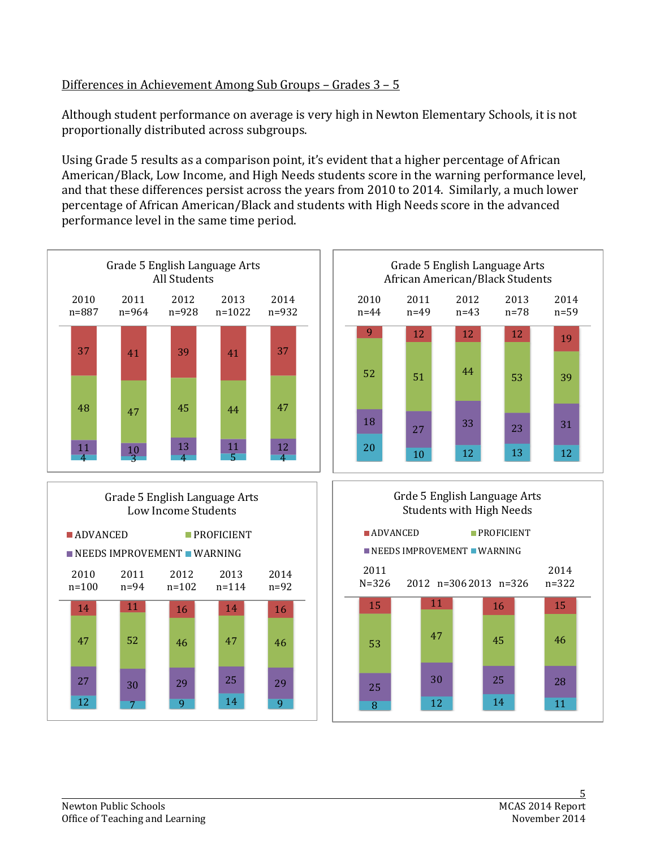## Differences in Achievement Among Sub Groups – Grades 3 – 5

Although student performance on average is very high in Newton Elementary Schools, it is not proportionally distributed across subgroups.

Using Grade 5 results as a comparison point, it's evident that a higher percentage of African American/Black, Low Income, and High Needs students score in the warning performance level, and that these differences persist across the years from 2010 to 2014. Similarly, a much lower percentage of African American/Black and students with High Needs score in the advanced performance level in the same time period.

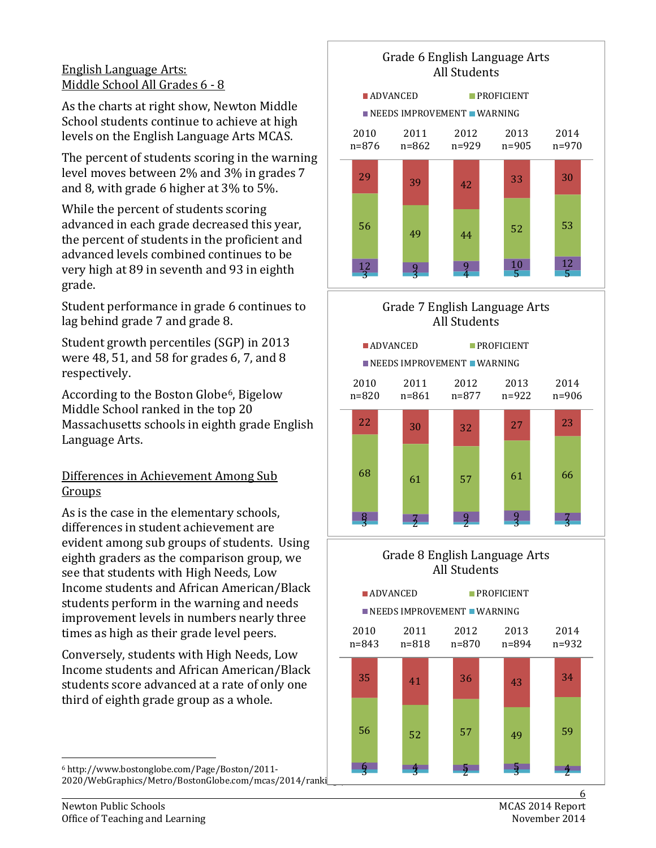#### English Language Arts: Middle School All Grades 6 - 8

As the charts at right show, Newton Middle School students continue to achieve at high levels on the English Language Arts MCAS.

The percent of students scoring in the warning level moves between 2% and 3% in grades 7 and 8, with grade 6 higher at 3% to 5%.

While the percent of students scoring advanced in each grade decreased this year, the percent of students in the proficient and advanced levels combined continues to be very high at 89 in seventh and 93 in eighth grade.

Student performance in grade 6 continues to lag behind grade 7 and grade 8.

Student growth percentiles (SGP) in 2013 were 48, 51, and 58 for grades 6, 7, and 8 respectively.

According to the Boston Globe<sup>[6](#page-6-0)</sup>, Bigelow Middle School ranked in the top 20 Massachusetts schools in eighth grade English Language Arts.

## Differences in Achievement Among Sub Groups

As is the case in the elementary schools, differences in student achievement are evident among sub groups of students. Using eighth graders as the comparison group, we see that students with High Needs, Low Income students and African American/Black students perform in the warning and needs improvement levels in numbers nearly three times as high as their grade level peers.

Conversely, students with High Needs, Low Income students and African American/Black students score advanced at a rate of only one third of eighth grade group as a whole.

<span id="page-6-0"></span> 6 http://www.bostonglobe.com/Page/Boston/2011- 2020/WebGraphics/Metro/BostonGlobe.com/mcas/2014/ranki







#### Grade 8 English Language Arts All Students



Newton Public Schools<br>
Office of Teaching and Learning<br>
Office of Teaching and Learning Office of Teaching and Learning

6<br>MCAS 2014 Report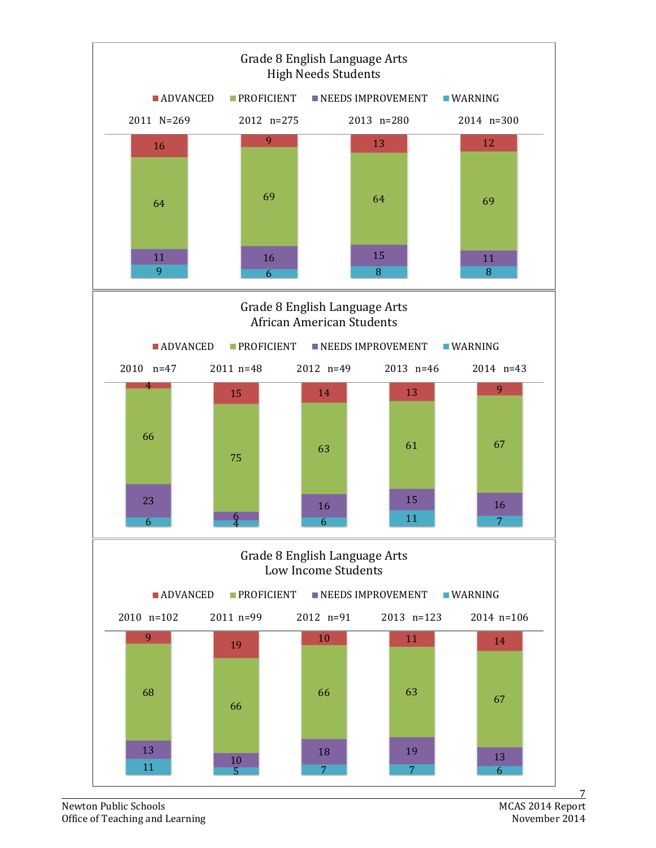

Newton Public Schools<br>Office of Teaching and Learning<br>MOKS 2014 Report<br>Movember 2014 Office of Teaching and Learning

7<br>MCAS 2014 Report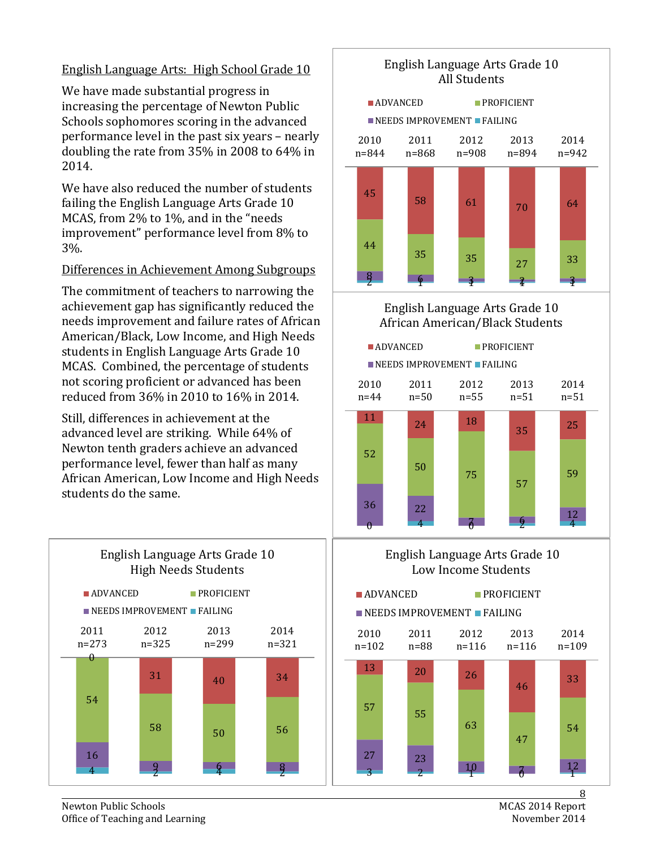#### English Language Arts: High School Grade 10

We have made substantial progress in increasing the percentage of Newton Public Schools sophomores scoring in the advanced performance level in the past six years – nearly doubling the rate from 35% in 2008 to 64% in 2014.

We have also reduced the number of students failing the English Language Arts Grade 10 MCAS, from 2% to 1%, and in the "needs improvement" performance level from 8% to 3%.

#### Differences in Achievement Among Subgroups

The commitment of teachers to narrowing the achievement gap has significantly reduced the needs improvement and failure rates of African American/Black, Low Income, and High Needs students in English Language Arts Grade 10 MCAS. Combined, the percentage of students not scoring proficient or advanced has been reduced from 36% in 2010 to 16% in 2014.

Still, differences in achievement at the advanced level are striking. While 64% of Newton tenth graders achieve an advanced performance level, fewer than half as many African American, Low Income and High Needs students do the same.



#### English Language Arts Grade 10 All Students





#### English Language Arts Grade 10 Low Income Students





8<br>MCAS 2014 Report

2014

Newton Public Schools<br>
Office of Teaching and Learning<br>
Office of Teaching and Learning Office of Teaching and Learning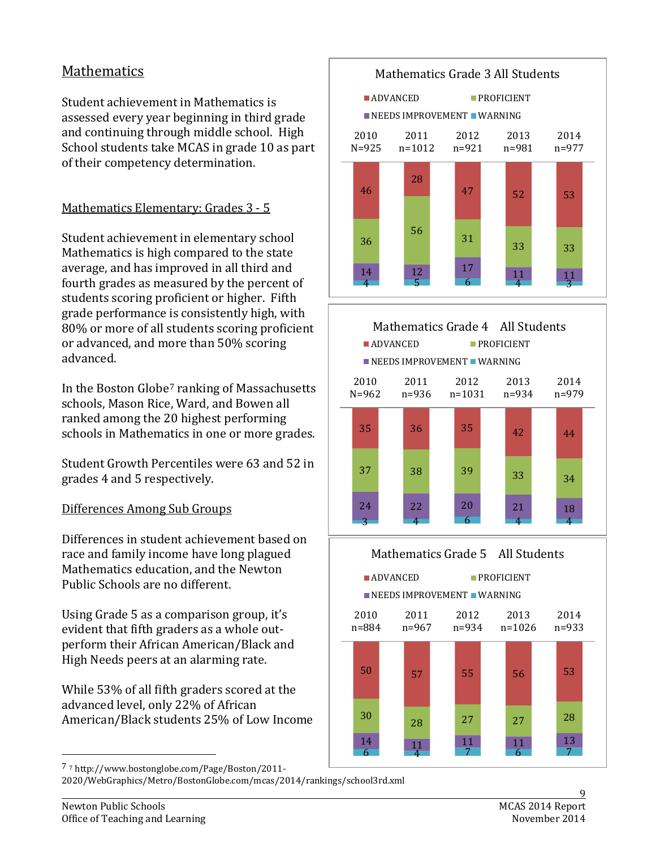# Mathematics

Student achievement in Mathematics is assessed every year beginning in third grade and continuing through middle school. High School students take MCAS in grade 10 as part of their competency determination.

# Mathematics Elementary: Grades 3 - 5

Student achievement in elementary school Mathematics is high compared to the state average, and has improved in all third and fourth grades as measured by the percent of students scoring proficient or higher. Fifth grade performance is consistently high, with 80% or more of all students scoring proficient or advanced, and more than 50% scoring advanced.

In the Boston Globe[7](#page-9-0) ranking of Massachusetts schools, Mason Rice, Ward, and Bowen all ranked among the 20 highest performing schools in Mathematics in one or more grades.

Student Growth Percentiles were 63 and 52 in grades 4 and 5 respectively.

#### Differences Among Sub Groups

Differences in student achievement based on race and family income have long plagued Mathematics education, and the Newton Public Schools are no different.

Using Grade 5 as a comparison group, it's evident that fifth graders as a whole outperform their African American/Black and High Needs peers at an alarming rate.

While 53% of all fifth graders scored at the advanced level, only 22% of African American/Black students 25% of Low Income







<span id="page-9-0"></span>7 <sup>7</sup> http://www.bostonglobe.com/Page/Boston/2011-

<sup>2020/</sup>WebGraphics/Metro/BostonGlobe.com/mcas/2014/rankings/school3rd.xml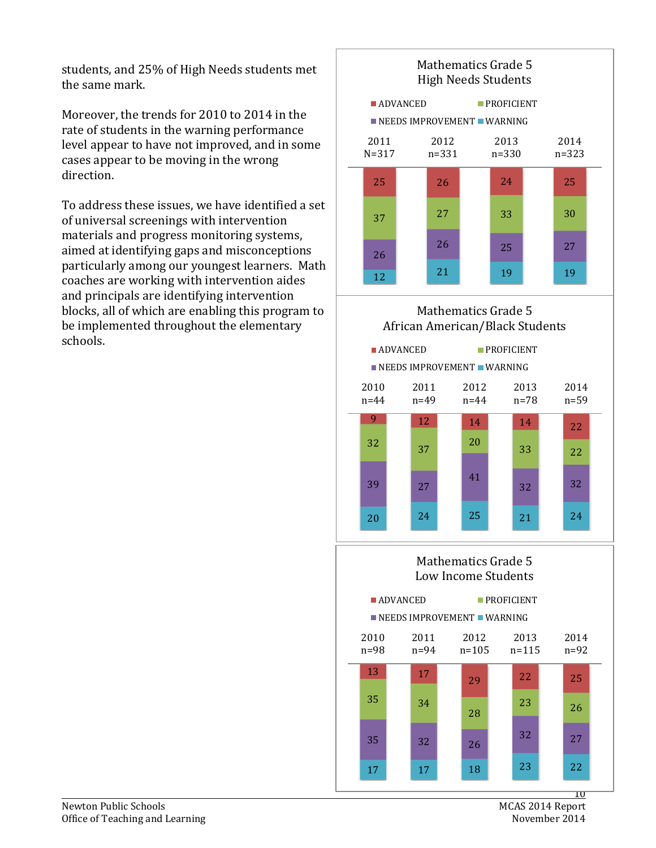students, and 25% of High Needs students met the same mark.

Moreover, the trends for 2010 to 2014 in the rate of students in the warning performance level appear to have not improved, and in some cases appear to be moving in the wrong direction.

To address these issues, we have identified a set of universal screenings with intervention materials and progress monitoring systems, aimed at identifying gaps and misconceptions particularly among our youngest learners. Math coaches are working with intervention aides and principals are identifying intervention blocks, all of which are enabling this program to be implemented throughout the elementary schools.



## Mathematics Grade 5 African American/Black Students



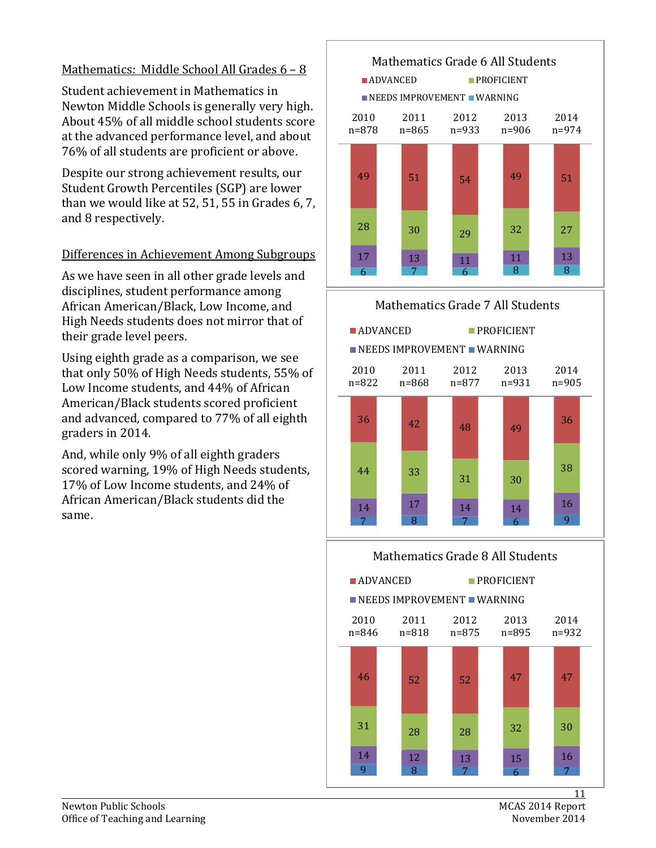#### Mathematics: Middle School All Grades 6 – 8

Student achievement in Mathematics in Newton Middle Schools is generally very high. About 45% of all middle school students score at the advanced performance level, and about 76% of all students are proficient or above.

Despite our strong achievement results, our Student Growth Percentiles (SGP) are lower than we would like at 52, 51, 55 in Grades 6, 7, and 8 respectively.

#### Differences in Achievement Among Subgroups

As we have seen in all other grade levels and disciplines, student performance among African American/Black, Low Income, and High Needs students does not mirror that of their grade level peers.

Using eighth grade as a comparison, we see that only 50% of High Needs students, 55% of Low Income students, and 44% of African American/Black students scored proficient and advanced, compared to 77% of all eighth graders in 2014.

And, while only 9% of all eighth graders scored warning, 19% of High Needs students, 17% of Low Income students, and 24% of African American/Black students did the same.





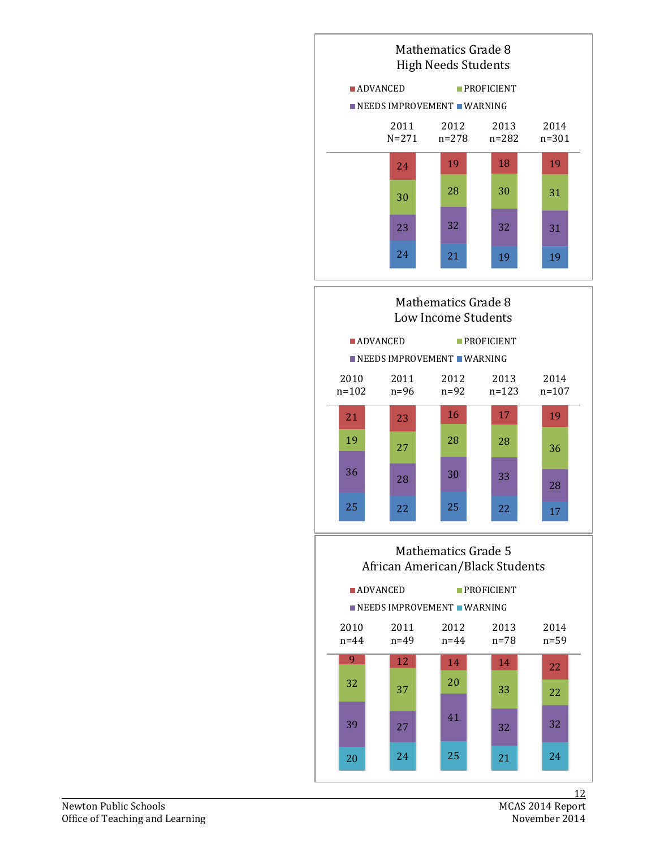



#### Mathematics Grade 5 African American/Black Students

|                  | <b>ADVANCED</b><br>$\blacksquare$ NEEDS IMPROVEMENT $\blacksquare$ WARNING | $PROFIGIENT$     |              |                  |
|------------------|----------------------------------------------------------------------------|------------------|--------------|------------------|
| 2010<br>$n = 44$ | 2011<br>n=49                                                               | 2012<br>$n = 44$ | 2013<br>n=78 | 2014<br>$n = 59$ |
| 9                | 12                                                                         | 14               | 14           | 22               |
| 32               | 37                                                                         | 20               | 33           | 22               |
| 39               | 27                                                                         | 41               | 32           | 32               |
| 20               | 24                                                                         | 25               | 21           | 24               |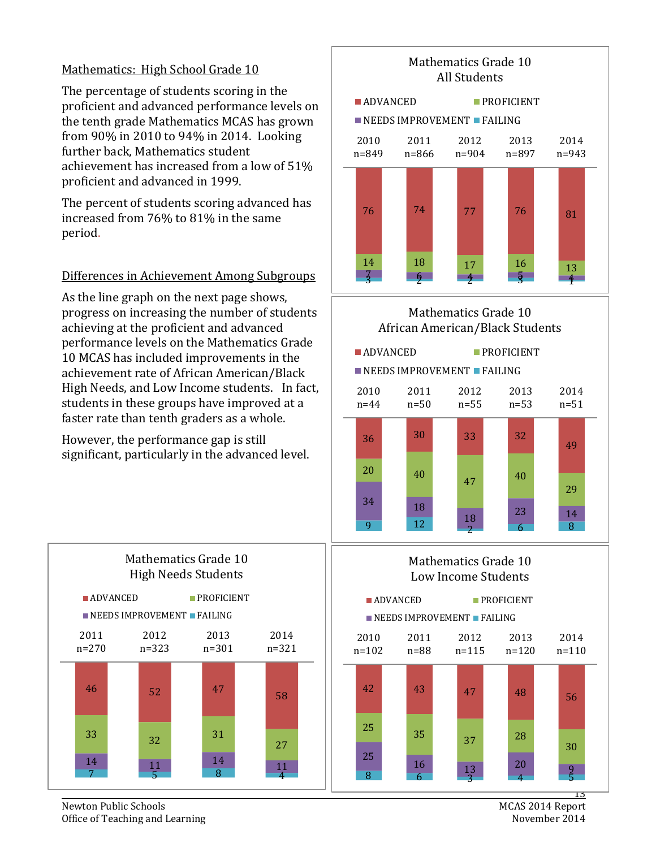#### Mathematics: High School Grade 10

The percentage of students scoring in the proficient and advanced performance levels on the tenth grade Mathematics MCAS has grown from 90% in 2010 to 94% in 2014. Looking further back, Mathematics student achievement has increased from a low of 51% proficient and advanced in 1999.

The percent of students scoring advanced has increased from 76% to 81% in the same period.

#### Differences in Achievement Among Subgroups

As the line graph on the next page shows, progress on increasing the number of students achieving at the proficient and advanced performance levels on the Mathematics Grade 10 MCAS has included improvements in the achievement rate of African American/Black High Needs, and Low Income students. In fact, students in these groups have improved at a faster rate than tenth graders as a whole.

However, the performance gap is still significant, particularly in the advanced level.



Mathematics Grade 10

#### Mathematics Grade 10 African American/Black Students







MCAS 2014 Report

Newton Public Schools<br>
Office of Teaching and Learning<br>
Office of Teaching and Learning Office of Teaching and Learning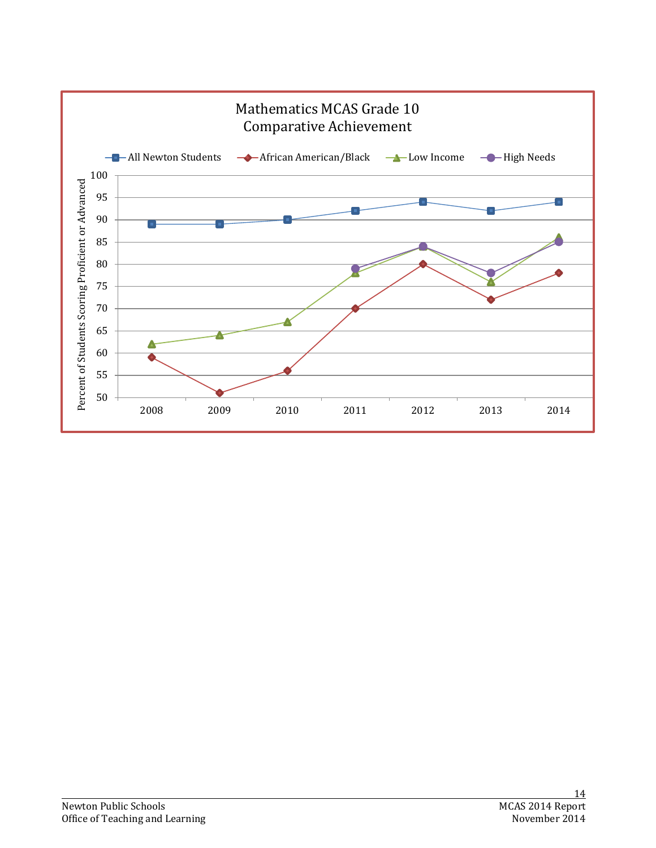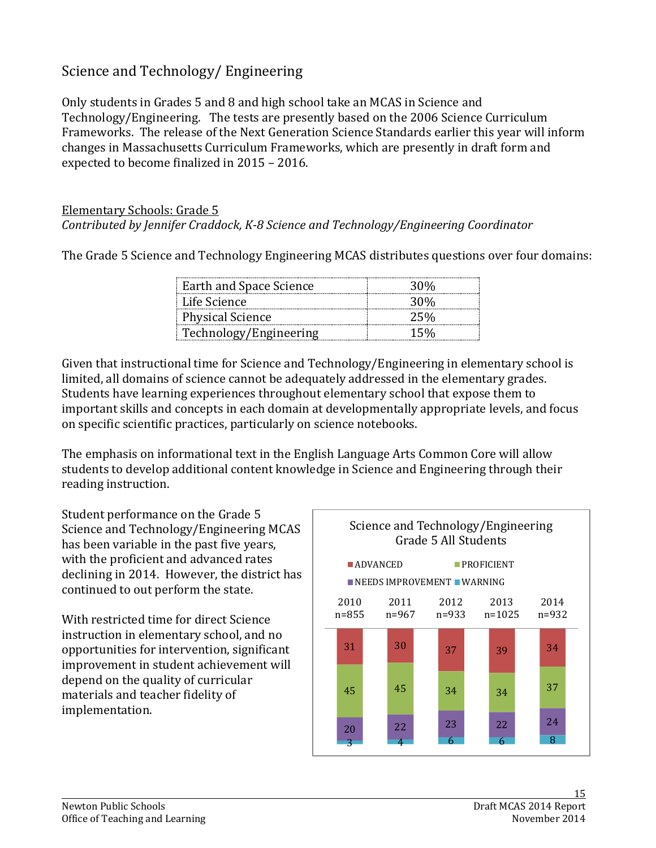# Science and Technology/ Engineering

Only students in Grades 5 and 8 and high school take an MCAS in Science and Technology/Engineering. The tests are presently based on the 2006 Science Curriculum Frameworks. The release of the Next Generation Science Standards earlier this year will inform changes in Massachusetts Curriculum Frameworks, which are presently in draft form and expected to become finalized in 2015 – 2016.

#### Elementary Schools: Grade 5 *Contributed by Jennifer Craddock, K-8 Science and Technology/Engineering Coordinator*

The Grade 5 Science and Technology Engineering MCAS distributes questions over four domains:

| Earth and Space Science | 30%    |
|-------------------------|--------|
| - Life Science          | 30%    |
| <b>Physical Science</b> | 25%    |
| Technology/Engineering  | $15\%$ |

Given that instructional time for Science and Technology/Engineering in elementary school is limited, all domains of science cannot be adequately addressed in the elementary grades. Students have learning experiences throughout elementary school that expose them to important skills and concepts in each domain at developmentally appropriate levels, and focus on specific scientific practices, particularly on science notebooks.

The emphasis on informational text in the English Language Arts Common Core will allow students to develop additional content knowledge in Science and Engineering through their reading instruction.

Student performance on the Grade 5 Science and Technology/Engineering MCAS has been variable in the past five years, with the proficient and advanced rates declining in 2014. However, the district has continued to out perform the state.

With restricted time for direct Science instruction in elementary school, and no opportunities for intervention, significant improvement in student achievement will depend on the quality of curricular materials and teacher fidelity of implementation.

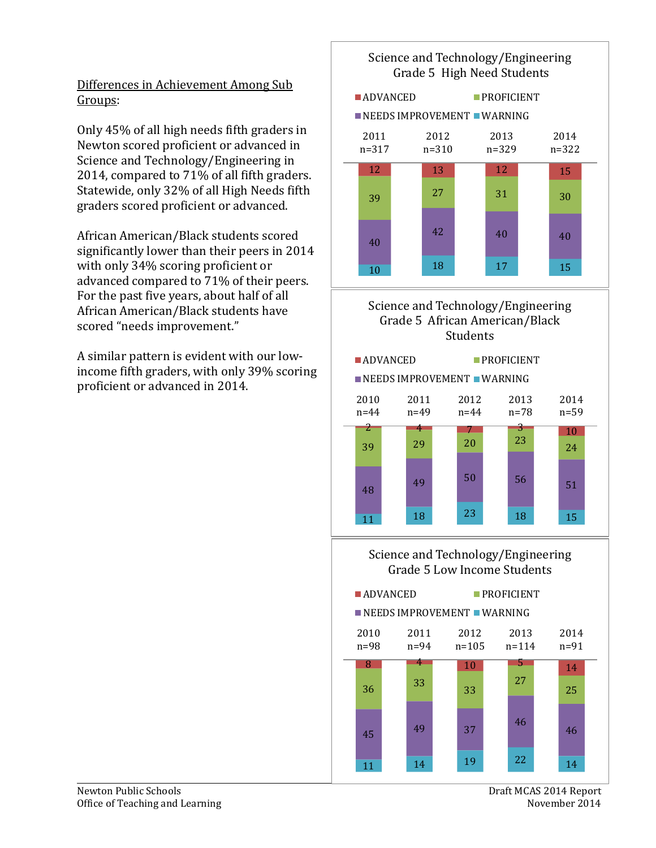### Differences in Achievement Among Sub Groups:

Only 45% of all high needs fifth graders in Newton scored proficient or advanced in Science and Technology/Engineering in 2014, compared to 71% of all fifth graders. Statewide, only 32% of all High Needs fifth graders scored proficient or advanced.

African American/Black students scored significantly lower than their peers in 2014 with only 34% scoring proficient or advanced compared to 71% of their peers. For the past five years, about half of all African American/Black students have scored "needs improvement."

A similar pattern is evident with our lowincome fifth graders, with only 39% scoring proficient or advanced in 2014.

#### Science and Technology/Engineering Grade 5 High Need Students



# Grade 5 African American/Black **Students**



#### Science and Technology/Engineering Grade 5 Low Income Students

**ADVANCED** PROFICIENT

2010 2011 2012 2013  $\blacksquare$  NEEDS IMPROVEMENT  $\blacksquare$  WARNING

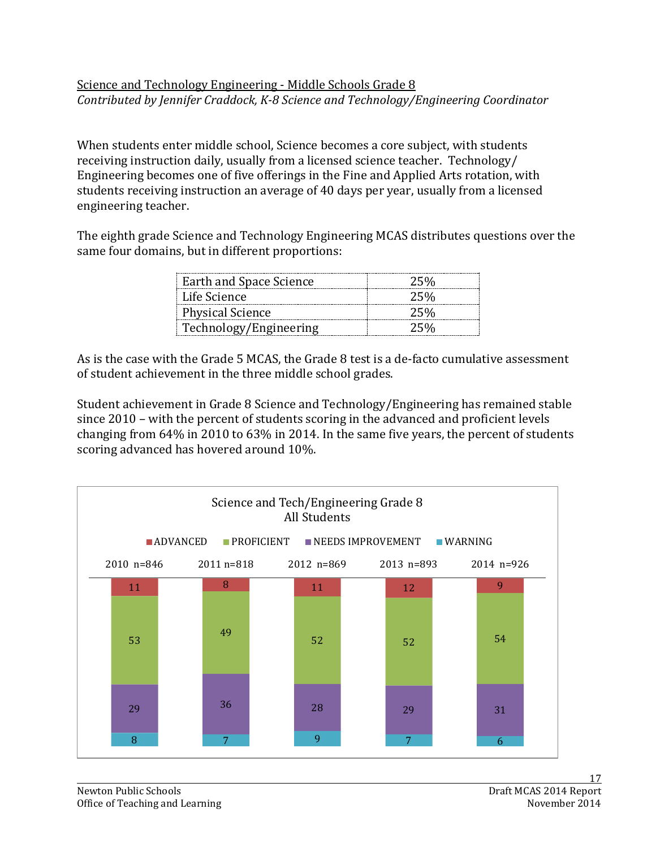## Science and Technology Engineering - Middle Schools Grade 8 *Contributed by Jennifer Craddock, K-8 Science and Technology/Engineering Coordinator*

When students enter middle school, Science becomes a core subject, with students receiving instruction daily, usually from a licensed science teacher. Technology/ Engineering becomes one of five offerings in the Fine and Applied Arts rotation, with students receiving instruction an average of 40 days per year, usually from a licensed engineering teacher.

The eighth grade Science and Technology Engineering MCAS distributes questions over the same four domains, but in different proportions:

| Earth and Space Science | ソト以 |
|-------------------------|-----|
| Life Science            | フト以 |
| <b>Physical Science</b> | フち以 |
| Technology/Engineering  | ソト以 |

As is the case with the Grade 5 MCAS, the Grade 8 test is a de-facto cumulative assessment of student achievement in the three middle school grades.

Student achievement in Grade 8 Science and Technology/Engineering has remained stable since 2010 – with the percent of students scoring in the advanced and proficient levels changing from 64% in 2010 to 63% in 2014. In the same five years, the percent of students scoring advanced has hovered around 10%.

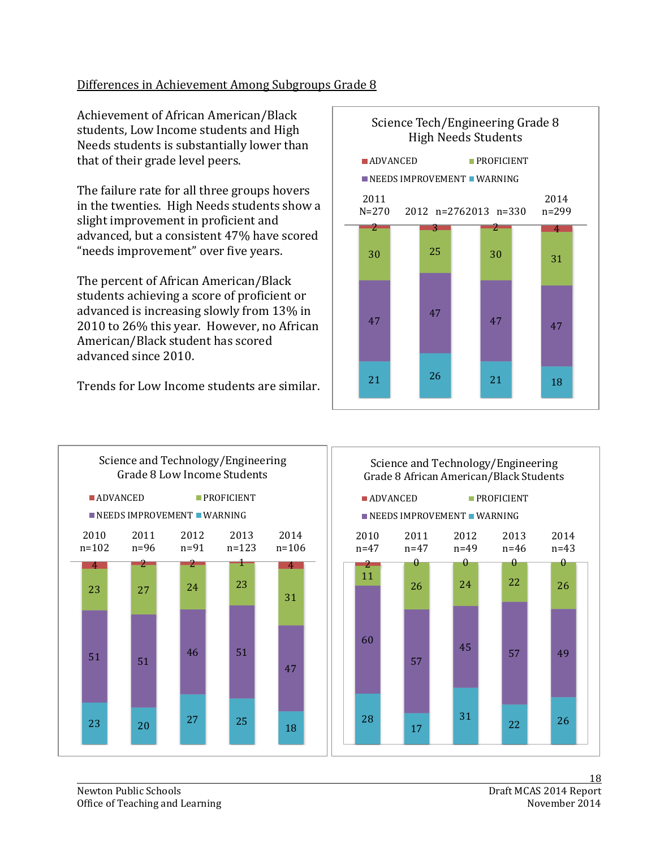## Differences in Achievement Among Subgroups Grade 8

Achievement of African American/Black students, Low Income students and High Needs students is substantially lower than that of their grade level peers.

The failure rate for all three groups hovers in the twenties. High Needs students show a slight improvement in proficient and advanced, but a consistent 47% have scored "needs improvement" over five years.

The percent of African American/Black students achieving a score of proficient or advanced is increasing slowly from 13% in 2010 to 26% this year. However, no African American/Black student has scored advanced since 2010.

Trends for Low Income students are similar.



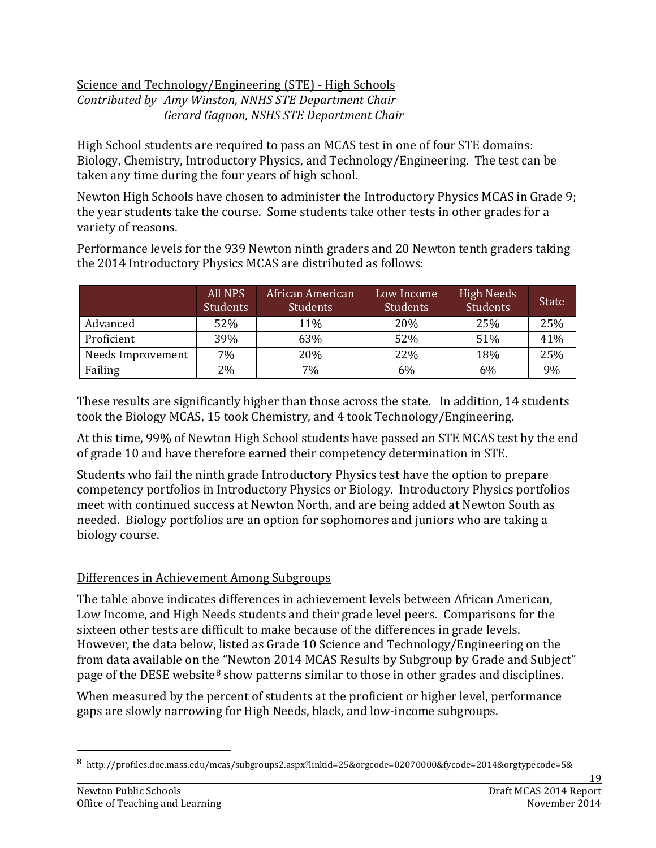#### Science and Technology/Engineering (STE) - High Schools *Contributed by Amy Winston, NNHS STE Department Chair Gerard Gagnon, NSHS STE Department Chair*

High School students are required to pass an MCAS test in one of four STE domains: Biology, Chemistry, Introductory Physics, and Technology/Engineering. The test can be taken any time during the four years of high school.

Newton High Schools have chosen to administer the Introductory Physics MCAS in Grade 9; the year students take the course. Some students take other tests in other grades for a variety of reasons.

Performance levels for the 939 Newton ninth graders and 20 Newton tenth graders taking the 2014 Introductory Physics MCAS are distributed as follows:

|                   | <b>All NPS</b><br><b>Students</b> | African American<br><b>Students</b> | Low Income<br><b>Students</b> | <b>High Needs</b><br><b>Students</b> | <b>State</b> |
|-------------------|-----------------------------------|-------------------------------------|-------------------------------|--------------------------------------|--------------|
| Advanced          | 52%                               | 11%                                 | 20%                           | 25%                                  | 25%          |
| Proficient        | 39%                               | 63%                                 | 52%                           | 51%                                  | 41%          |
| Needs Improvement | 7%                                | 20%                                 | 22%                           | 18%                                  | 25%          |
| Failing           | 2%                                | 7%                                  | 6%                            | 6%                                   | 9%           |

These results are significantly higher than those across the state. In addition, 14 students took the Biology MCAS, 15 took Chemistry, and 4 took Technology/Engineering.

At this time, 99% of Newton High School students have passed an STE MCAS test by the end of grade 10 and have therefore earned their competency determination in STE.

Students who fail the ninth grade Introductory Physics test have the option to prepare competency portfolios in Introductory Physics or Biology. Introductory Physics portfolios meet with continued success at Newton North, and are being added at Newton South as needed. Biology portfolios are an option for sophomores and juniors who are taking a biology course.

# Differences in Achievement Among Subgroups

The table above indicates differences in achievement levels between African American, Low Income, and High Needs students and their grade level peers. Comparisons for the sixteen other tests are difficult to make because of the differences in grade levels. However, the data below, listed as Grade 10 Science and Technology/Engineering on the from data available on the "Newton 2014 MCAS Results by Subgroup by Grade and Subject" page of the DESE website<sup>[8](#page-19-0)</sup> show patterns similar to those in other grades and disciplines.

When measured by the percent of students at the proficient or higher level, performance gaps are slowly narrowing for High Needs, black, and low-income subgroups.

<span id="page-19-0"></span> <sup>8</sup> http://profiles.doe.mass.edu/mcas/subgroups2.aspx?linkid=25&orgcode=02070000&fycode=2014&orgtypecode=5&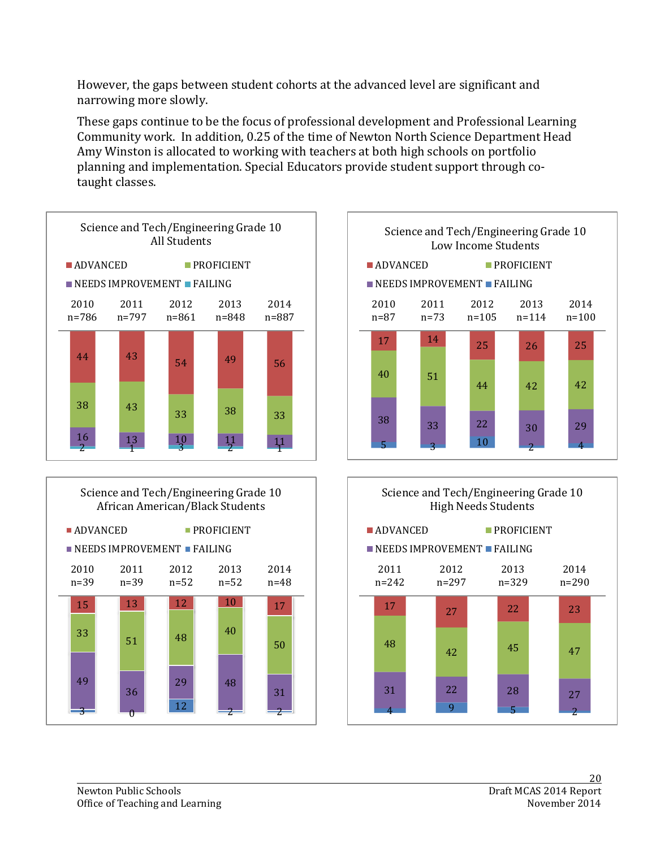However, the gaps between student cohorts at the advanced level are significant and narrowing more slowly.

These gaps continue to be the focus of professional development and Professional Learning Community work. In addition, 0.25 of the time of Newton North Science Department Head Amy Winston is allocated to working with teachers at both high schools on portfolio planning and implementation. Special Educators provide student support through cotaught classes.





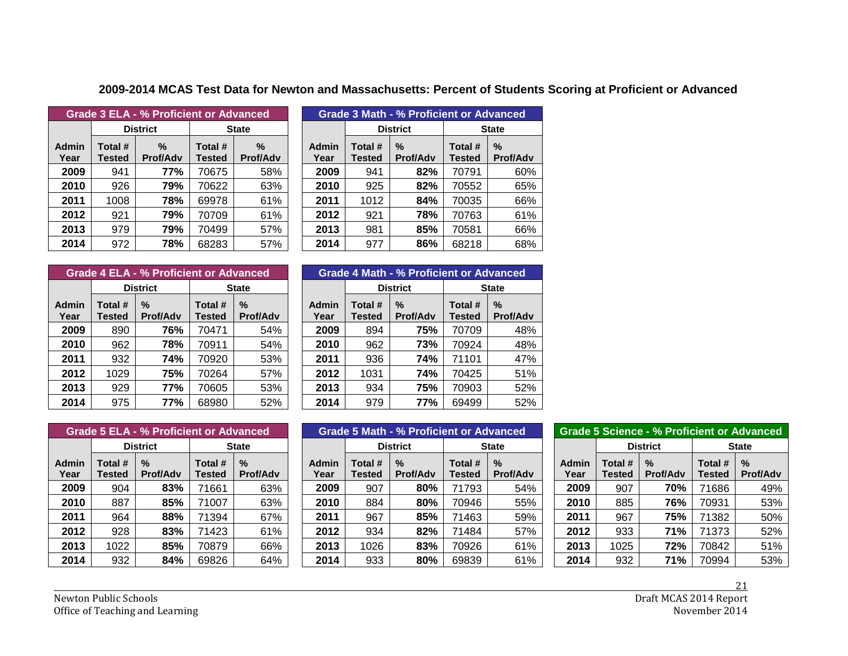| Grade 3 ELA - % Proficient or Advanced |                          |                      |                          |                         |  |  |  |  |
|----------------------------------------|--------------------------|----------------------|--------------------------|-------------------------|--|--|--|--|
|                                        |                          | <b>District</b>      | <b>State</b>             |                         |  |  |  |  |
| Admin<br>Year                          | Total #<br><b>Tested</b> | ℅<br><b>Prof/Adv</b> | Total #<br><b>Tested</b> | $\%$<br><b>Prof/Adv</b> |  |  |  |  |
| 2009                                   | 941                      | 77%                  | 70675                    | 58%                     |  |  |  |  |
| 2010                                   | 926                      | 79%                  | 70622                    | 63%                     |  |  |  |  |
| 2011                                   | 1008                     | 78%                  | 69978                    | 61%                     |  |  |  |  |
| 2012                                   | 921                      | 79%                  | 70709                    | 61%                     |  |  |  |  |
| 2013                                   | 979                      | 79%                  | 70499                    | 57%                     |  |  |  |  |
| 2014                                   | 972                      | 78%                  | 68283                    | 57%                     |  |  |  |  |

| Grade 3 ELA - % Proficient or Advanced |                   |                         |                   |                      | Grade 3 Math - % Proficient or Advanced |                   |                         |                          |                         |  |
|----------------------------------------|-------------------|-------------------------|-------------------|----------------------|-----------------------------------------|-------------------|-------------------------|--------------------------|-------------------------|--|
|                                        |                   | <b>District</b>         |                   | <b>State</b>         |                                         | <b>District</b>   |                         | <b>State</b>             |                         |  |
| dmin<br>Year                           | Total #<br>Tested | $\%$<br><b>Prof/Adv</b> | Total #<br>Tested | %<br><b>Prof/Adv</b> | Admin<br>Year                           | Total #<br>Tested | $\%$<br><b>Prof/Adv</b> | Total #<br><b>Tested</b> | $\%$<br><b>Prof/Adv</b> |  |
| 2009                                   | 941               | 77%                     | 70675             | 58%                  | 2009                                    | 941               | 82%                     | 70791                    | 60%                     |  |
| 2010                                   | 926               | 79%                     | 70622             | 63%                  | 2010                                    | 925               | 82%                     | 70552                    | 65%                     |  |
| 2011                                   | 1008              | 78%                     | 69978             | 61%                  | 2011                                    | 1012              | 84%                     | 70035                    | 66%                     |  |
| 2012                                   | 921               | 79%                     | 70709             | 61%                  | 2012                                    | 921               | 78%                     | 70763                    | 61%                     |  |
| 2013                                   | 979               | 79%                     | 70499             | 57%                  | 2013                                    | 981               | 85%                     | 70581                    | 66%                     |  |
| 2014                                   | 972               | 78%                     | 68283             | 57%                  | 2014                                    | 977               | 86%                     | 68218                    | 68%                     |  |

**2009-2014 MCAS Test Data for Newton and Massachusetts: Percent of Students Scoring at Proficient or Advanced**

| <b>Grade 4 ELA - % Proficient or Advanced</b> |                          |                      |                          |                                  |  |  |  |  |  |
|-----------------------------------------------|--------------------------|----------------------|--------------------------|----------------------------------|--|--|--|--|--|
|                                               |                          | <b>District</b>      | <b>State</b>             |                                  |  |  |  |  |  |
| Admin<br>Year                                 | Total #<br><b>Tested</b> | %<br><b>Prof/Adv</b> | Total #<br><b>Tested</b> | $\frac{0}{2}$<br><b>Prof/Adv</b> |  |  |  |  |  |
| 2009                                          | 890                      | 76%                  | 70471                    | 54%                              |  |  |  |  |  |
| 2010                                          | 962                      | 78%                  | 70911                    | 54%                              |  |  |  |  |  |
| 2011                                          | 932                      | <b>74%</b>           | 70920                    | 53%                              |  |  |  |  |  |
| 2012                                          | 1029                     | 75%                  | 70264                    | 57%                              |  |  |  |  |  |
| 2013                                          | 929                      | 77%                  | 70605                    | 53%                              |  |  |  |  |  |
| 2014                                          | 975                      | 77%                  | 68980                    | 52%                              |  |  |  |  |  |

| Grade 4 ELA - % Proficient or Advanced |                   |                         |                          |                         | Grade 4 Math - % Proficient or Advanced |                          |                         |                   |                         |
|----------------------------------------|-------------------|-------------------------|--------------------------|-------------------------|-----------------------------------------|--------------------------|-------------------------|-------------------|-------------------------|
|                                        |                   | <b>District</b>         |                          | <b>State</b>            |                                         | <b>District</b>          |                         | <b>State</b>      |                         |
| dmin<br>Year                           | Total #<br>Tested | $\%$<br><b>Prof/Adv</b> | Total #<br><b>Tested</b> | $\%$<br><b>Prof/Adv</b> | <b>Admin</b><br>Year                    | Total #<br><b>Tested</b> | $\%$<br><b>Prof/Adv</b> | Total #<br>Tested | $\%$<br><b>Prof/Adv</b> |
| 2009                                   | 890               | 76%                     | 70471                    | 54%                     | 2009                                    | 894                      | 75%                     | 70709             | 48%                     |
| 2010                                   | 962               | 78%                     | 70911                    | 54%                     | 2010                                    | 962                      | 73%                     | 70924             | 48%                     |
| 2011                                   | 932               | 74%                     | 70920                    | 53%                     | 2011                                    | 936                      | 74%                     | 71101             | 47%                     |
| 2012                                   | 1029              | 75%                     | 70264                    | 57%                     | 2012                                    | 1031                     | 74%                     | 70425             | 51%                     |
| 2013                                   | 929               | 77%                     | 70605                    | 53%                     | 2013                                    | 934                      | 75%                     | 70903             | 52%                     |
| 2014                                   | 975               | 77%                     | 68980                    | 52%                     | 2014                                    | 979                      | 77%                     | 69499             | 52%                     |

| <b>Grade 5 ELA - % Proficient or Advanced</b> |                          |                      |                          |                         |  |  |  |  |  |
|-----------------------------------------------|--------------------------|----------------------|--------------------------|-------------------------|--|--|--|--|--|
|                                               |                          | <b>District</b>      | <b>State</b>             |                         |  |  |  |  |  |
| Admin<br>Year                                 | Total #<br><b>Tested</b> | %<br><b>Prof/Adv</b> | Total #<br><b>Tested</b> | $\%$<br><b>Prof/Adv</b> |  |  |  |  |  |
| 2009                                          | 904                      | 83%                  | 71661                    | 63%                     |  |  |  |  |  |
| 2010                                          | 887                      | 85%                  | 71007                    | 63%                     |  |  |  |  |  |
| 2011                                          | 964                      | 88%                  | 71394                    | 67%                     |  |  |  |  |  |
| 2012                                          | 928                      | 83%                  | 71423                    | 61%                     |  |  |  |  |  |
| 2013                                          | 1022                     | 85%                  | 70879                    | 66%                     |  |  |  |  |  |
| 2014                                          | 932                      | 84%                  | 69826                    | 64%                     |  |  |  |  |  |

|              | <b>Grade 5 ELA - % Proficient or Advanced</b> |                                  |                   |                                  |               |                          | Grade 5 Math - % Proficient or Advanced |                   | <b>Grade 5 Science - % Proficient or Advanced</b> |                      |                   |                      |                   |                         |  |
|--------------|-----------------------------------------------|----------------------------------|-------------------|----------------------------------|---------------|--------------------------|-----------------------------------------|-------------------|---------------------------------------------------|----------------------|-------------------|----------------------|-------------------|-------------------------|--|
|              |                                               | <b>District</b>                  |                   | <b>State</b>                     |               | <b>District</b>          |                                         | <b>State</b>      |                                                   |                      | <b>District</b>   |                      | <b>State</b>      |                         |  |
| dmin<br>Year | Total #<br>Tested                             | $\frac{9}{6}$<br><b>Prof/Adv</b> | Total #<br>Tested | $\frac{9}{6}$<br><b>Prof/Adv</b> | Admin<br>Year | Total #<br><b>Tested</b> | $\%$<br><b>Prof/Adv</b>                 | Total #<br>Tested | $\%$<br><b>Prof/Adv</b>                           | <b>Admin</b><br>Year | Total #<br>Tested | %<br><b>Prof/Adv</b> | Total #<br>Tested | $\%$<br><b>Prof/Adv</b> |  |
| 2009         | 904                                           | 83%                              | 71661             | 63%                              | 2009          | 907                      | 80%                                     | 71793             | 54%                                               | 2009                 | 907               | 70%                  | 71686             | 49%                     |  |
| 2010         | 887                                           | 85%                              | 71007             | 63%                              | 2010          | 884                      | 80%                                     | 70946             | 55%                                               | 2010                 | 885               | 76%                  | 70931             | 53%                     |  |
| 2011         | 964                                           | 88%                              | 71394             | 67%                              | 2011          | 967                      | 85%                                     | 71463             | 59%                                               | 2011                 | 967               | 75%                  | 71382             | 50%                     |  |
| 2012         | 928                                           | 83%                              | 71423             | 61%                              | 2012          | 934                      | 82%                                     | 71484             | 57%                                               | 2012                 | 933               | 71%                  | 71373             | 52%                     |  |
| 2013         | 1022                                          | 85%                              | 70879             | 66%                              | 2013          | 1026                     | 83%                                     | 70926             | 61%                                               | 2013                 | 1025              | 72%                  | 70842             | 51%                     |  |
| 2014         | 932                                           | 84%                              | 69826             | 64%                              | 2014          | 933                      | 80%                                     | 69839             | 61%                                               | 2014                 | 932               | 71%                  | 70994             | 53%                     |  |

| <b>Grade 5 Science - % Proficient or Advanced</b> |                   |                      |                          |                      |  |  |  |  |  |  |  |  |
|---------------------------------------------------|-------------------|----------------------|--------------------------|----------------------|--|--|--|--|--|--|--|--|
|                                                   |                   | <b>District</b>      |                          | <b>State</b>         |  |  |  |  |  |  |  |  |
| Admin<br>Year                                     | Total #<br>Tested | %<br><b>Prof/Adv</b> | Total #<br><b>Tested</b> | %<br><b>Prof/Adv</b> |  |  |  |  |  |  |  |  |
| 2009                                              | 907               | 70%                  | 71686                    | 49%                  |  |  |  |  |  |  |  |  |
| 2010                                              | 885               | 76%                  | 70931                    | 53%                  |  |  |  |  |  |  |  |  |
| 2011                                              | 967               | 75%                  | 71382                    | 50%                  |  |  |  |  |  |  |  |  |
| 2012                                              | 933               | 71%                  | 71373                    | 52%                  |  |  |  |  |  |  |  |  |
| 2013                                              | 1025              | 72%                  | 70842                    | 51%                  |  |  |  |  |  |  |  |  |
| 2014                                              | 932               | 71%                  | 70994                    | 53%                  |  |  |  |  |  |  |  |  |

21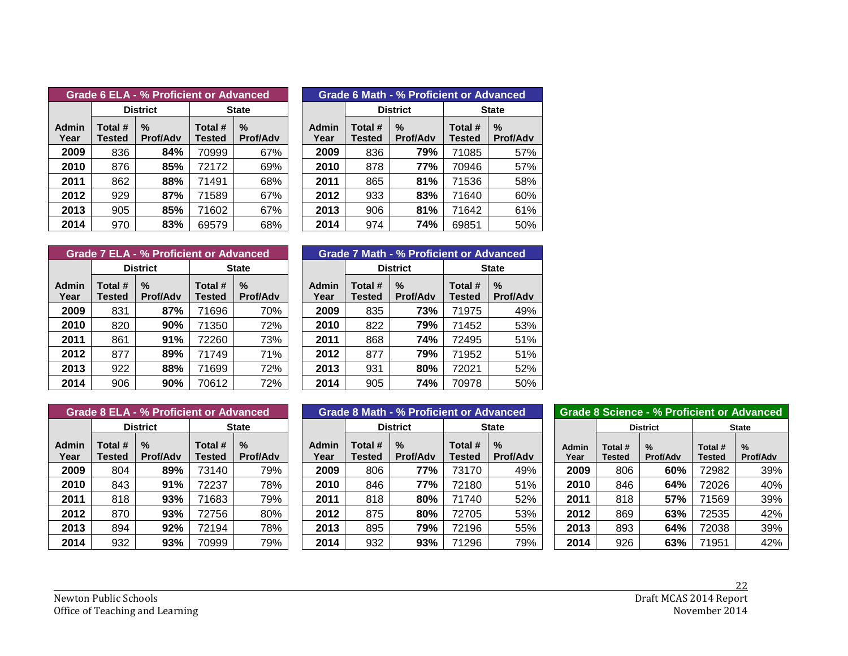|               | Grade 6 ELA - % Proficient or Advanced |                      |                          |                                  |  |  |  |  |  |  |  |  |  |  |
|---------------|----------------------------------------|----------------------|--------------------------|----------------------------------|--|--|--|--|--|--|--|--|--|--|
|               |                                        | <b>District</b>      | <b>State</b>             |                                  |  |  |  |  |  |  |  |  |  |  |
| Admin<br>Year | Total #<br><b>Tested</b>               | %<br><b>Prof/Adv</b> | Total #<br><b>Tested</b> | $\frac{0}{2}$<br><b>Prof/Adv</b> |  |  |  |  |  |  |  |  |  |  |
| 2009          | 836                                    | 84%                  | 70999                    | 67%                              |  |  |  |  |  |  |  |  |  |  |
| 2010          | 876                                    | 85%                  | 72172                    | 69%                              |  |  |  |  |  |  |  |  |  |  |
| 2011          | 862                                    | 88%                  | 71491                    | 68%                              |  |  |  |  |  |  |  |  |  |  |
| 2012          | 929                                    | 87%                  | 71589                    | 67%                              |  |  |  |  |  |  |  |  |  |  |
| 2013          | 905                                    | 85%                  | 71602                    | 67%                              |  |  |  |  |  |  |  |  |  |  |
| 2014          | 970                                    | 83%                  | 69579                    | 68%                              |  |  |  |  |  |  |  |  |  |  |

|              |                   | <b>Grade 6 ELA - % Proficient or Advanced</b> |                          |                         |  | Grade 6 Math - % Proficient or Advanced |                   |                         |                   |                         |  |  |  |
|--------------|-------------------|-----------------------------------------------|--------------------------|-------------------------|--|-----------------------------------------|-------------------|-------------------------|-------------------|-------------------------|--|--|--|
|              |                   | <b>District</b>                               | <b>State</b>             |                         |  |                                         |                   | <b>District</b>         | <b>State</b>      |                         |  |  |  |
| dmin<br>Year | Total #<br>Tested | $\%$<br><b>Prof/Adv</b>                       | Total #<br><b>Tested</b> | $\%$<br><b>Prof/Adv</b> |  | <b>Admin</b><br>Year                    | Total #<br>Tested | $\%$<br><b>Prof/Adv</b> | Total #<br>Tested | $\%$<br><b>Prof/Adv</b> |  |  |  |
| 2009         | 836               | 84%                                           | 70999                    | 67%                     |  | 2009                                    | 836               | 79%                     | 71085             | 57%                     |  |  |  |
| 2010         | 876               | 85%                                           | 72172                    | 69%                     |  | 2010                                    | 878               | 77%                     | 70946             | 57%                     |  |  |  |
| 2011         | 862               | 88%                                           | 71491                    | 68%                     |  | 2011                                    | 865               | 81%                     | 71536             | 58%                     |  |  |  |
| 2012         | 929               | 87%                                           | 71589                    | 67%                     |  | 2012                                    | 933               | 83%                     | 71640             | 60%                     |  |  |  |
| 2013         | 905               | 85%                                           | 71602                    | 67%                     |  | 2013                                    | 906               | 81%                     | 71642             | 61%                     |  |  |  |
| 2014         | 970               | 83%                                           | 69579                    | 68%                     |  | 2014                                    | 974               | 74%                     | 69851             | 50%                     |  |  |  |

|                      |                          | Grade 7 ELA - % Proficient or Advanced |                   |                         |  | <b>Grade 7 Math - % Proficient or Advanced</b> |                          |                         |                          |                |  |  |  |
|----------------------|--------------------------|----------------------------------------|-------------------|-------------------------|--|------------------------------------------------|--------------------------|-------------------------|--------------------------|----------------|--|--|--|
|                      |                          | <b>District</b>                        |                   | <b>State</b>            |  |                                                |                          | <b>District</b>         | <b>State</b>             |                |  |  |  |
| <b>Admin</b><br>Year | Total #<br><b>Tested</b> | $\%$<br><b>Prof/Adv</b>                | Total #<br>Tested | $\%$<br><b>Prof/Adv</b> |  | <b>Admin</b><br>Year                           | Total #<br><b>Tested</b> | $\%$<br><b>Prof/Adv</b> | Total #<br><b>Tested</b> | $\%$<br>Prof/A |  |  |  |
| 2009                 | 831                      | 87%                                    | 71696             | 70%                     |  | 2009                                           | 835                      | 73%                     | 71975                    | 49             |  |  |  |
| 2010                 | 820                      | 90%                                    | 71350             | 72%                     |  | 2010                                           | 822                      | 79%                     | 71452                    | 53             |  |  |  |
| 2011                 | 861                      | 91%                                    | 72260             | 73%                     |  | 2011                                           | 868                      | 74%                     | 72495                    | 51             |  |  |  |
| 2012                 | 877                      | 89%                                    | 71749             | 71%                     |  | 2012                                           | 877                      | 79%                     | 71952                    | 51             |  |  |  |
| 2013                 | 922                      | 88%                                    | 71699             | 72%                     |  | 2013                                           | 931                      | 80%                     | 72021                    | 52             |  |  |  |
| 2014                 | 906                      | 90%                                    | 70612             | 72%                     |  | 2014                                           | 905                      | 74%                     | 70978                    | 50             |  |  |  |

|              |                   | <b>Grade 7 ELA - % Proficient or Advanced</b> |                          |                         |  | <b>Grade 7 Math - % Proficient or Advanced</b> |                          |                         |                          |                                  |  |  |  |
|--------------|-------------------|-----------------------------------------------|--------------------------|-------------------------|--|------------------------------------------------|--------------------------|-------------------------|--------------------------|----------------------------------|--|--|--|
|              |                   | <b>District</b>                               | <b>State</b>             |                         |  |                                                |                          | <b>District</b>         | <b>State</b>             |                                  |  |  |  |
| dmin<br>Year | Total #<br>Tested | $\%$<br><b>Prof/Adv</b>                       | Total #<br><b>Tested</b> | $\%$<br><b>Prof/Adv</b> |  | Admin<br>Year                                  | Total #<br><b>Tested</b> | $\%$<br><b>Prof/Adv</b> | Total #<br><b>Tested</b> | $\frac{0}{0}$<br><b>Prof/Adv</b> |  |  |  |
| 2009         | 831               | 87%                                           | 71696                    | 70%                     |  | 2009                                           | 835                      | 73%                     | 71975                    | 49%                              |  |  |  |
| 2010         | 820               | 90%                                           | 71350                    | 72%                     |  | 2010                                           | 822                      | 79%                     | 71452                    | 53%                              |  |  |  |
| 2011         | 861               | 91%                                           | 72260                    | 73%                     |  | 2011                                           | 868                      | 74%                     | 72495                    | 51%                              |  |  |  |
| 2012         | 877               | 89%                                           | 71749                    | 71%                     |  | 2012                                           | 877                      | 79%                     | 71952                    | 51%                              |  |  |  |
| 2013         | 922               | 88%                                           | 71699                    | 72%                     |  | 2013                                           | 931                      | 80%                     | 72021                    | 52%                              |  |  |  |
| 2014         | 906               | 90%                                           | 70612                    | 72%                     |  | 2014                                           | 905                      | 74%                     | 70978                    | 50%                              |  |  |  |

| <b>Grade 8 ELA - % Proficient or Advanced</b> |                          |                      |                          |                      |  |  |  |  |  |  |  |  |  |
|-----------------------------------------------|--------------------------|----------------------|--------------------------|----------------------|--|--|--|--|--|--|--|--|--|
|                                               |                          | <b>District</b>      | <b>State</b>             |                      |  |  |  |  |  |  |  |  |  |
| Admin<br>Year                                 | Total #<br><b>Tested</b> | %<br><b>Prof/Adv</b> | Total #<br><b>Tested</b> | %<br><b>Prof/Adv</b> |  |  |  |  |  |  |  |  |  |
| 2009                                          | 804                      | 89%                  | 73140                    | 79%                  |  |  |  |  |  |  |  |  |  |
| 2010                                          | 843                      | 91%                  | 72237                    | 78%                  |  |  |  |  |  |  |  |  |  |
| 2011                                          | 818                      | 93%                  | 71683                    | 79%                  |  |  |  |  |  |  |  |  |  |
| 2012                                          | 870                      | 93%                  | 72756                    | 80%                  |  |  |  |  |  |  |  |  |  |
| 2013                                          | 894                      | 92%                  | 72194                    | 78%                  |  |  |  |  |  |  |  |  |  |
| 2014                                          | 932                      | 93%                  | 70999                    | 79%                  |  |  |  |  |  |  |  |  |  |

|              | <b>Grade 8 ELA - % Proficient or Advanced</b> |                      |                   |                                  |               |                   | Grade 8 Math - % Proficient or Advanced |                   | <b>Grade 8 Science - % Proficient or Advanced</b> |               |                   |                  |                   |                         |  |
|--------------|-----------------------------------------------|----------------------|-------------------|----------------------------------|---------------|-------------------|-----------------------------------------|-------------------|---------------------------------------------------|---------------|-------------------|------------------|-------------------|-------------------------|--|
|              |                                               | <b>District</b>      |                   | <b>State</b>                     |               | <b>District</b>   |                                         |                   | <b>State</b>                                      |               | <b>District</b>   |                  | <b>State</b>      |                         |  |
| dmin<br>Year | Total #<br>Tested                             | %<br><b>Prof/Adv</b> | Total #<br>Tested | $\frac{9}{6}$<br><b>Prof/Adv</b> | Admin<br>Year | Total #<br>Tested | $\%$<br><b>Prof/Adv</b>                 | Total #<br>Tested | $\%$<br><b>Prof/Adv</b>                           | Admin<br>Year | Total #<br>Tested | $\%$<br>Prof/Adv | Total #<br>Tested | $\%$<br><b>Prof/Adv</b> |  |
| 2009         | 804                                           | 89%                  | 73140             | 79%                              | 2009          | 806               | 77%                                     | 73170             | 49%                                               | 2009          | 806               | 60%              | 72982             | 39%                     |  |
| 2010         | 843                                           | 91%                  | 72237             | 78%                              | 2010          | 846               | 77%                                     | 72180             | 51%                                               | 2010          | 846               | 64%              | 72026             | 40%                     |  |
| 2011         | 818                                           | 93%                  | 71683             | 79%                              | 2011          | 818               | 80%                                     | 71740             | 52%                                               | 2011          | 818               | 57%              | 71569             | 39%                     |  |
| 2012         | 870                                           | 93%                  | 72756             | 80%                              | 2012          | 875               | 80%                                     | 72705             | 53%                                               | 2012          | 869               | 63%              | 72535             | 42%                     |  |
| 2013         | 894                                           | 92%                  | 72194             | 78%                              | 2013          | 895               | 79%                                     | 72196             | 55%                                               | 2013          | 893               | 64%              | 72038             | 39%                     |  |
| 2014         | 932                                           | 93%                  | 70999             | 79%                              | 2014          | 932               | 93%                                     | 71296             | 79%                                               | 2014          | 926               | 63%              | 71951             | 42%                     |  |

|                      | <b>Grade 8 Science - % Proficient or Advanced</b> |                      |                          |                         |  |  |  |  |  |  |  |  |  |  |
|----------------------|---------------------------------------------------|----------------------|--------------------------|-------------------------|--|--|--|--|--|--|--|--|--|--|
|                      |                                                   | <b>District</b>      | <b>State</b>             |                         |  |  |  |  |  |  |  |  |  |  |
| <b>Admin</b><br>Year | Total #<br><b>Tested</b>                          | %<br><b>Prof/Adv</b> | Total #<br><b>Tested</b> | $\%$<br><b>Prof/Adv</b> |  |  |  |  |  |  |  |  |  |  |
| 2009                 | 806                                               | 60%                  | 72982                    | 39%                     |  |  |  |  |  |  |  |  |  |  |
| 2010                 | 846                                               | 64%                  | 72026                    | 40%                     |  |  |  |  |  |  |  |  |  |  |
| 2011                 | 818                                               | 57%                  | 71569                    | 39%                     |  |  |  |  |  |  |  |  |  |  |
| 2012                 | 869                                               | 63%                  | 72535                    | 42%                     |  |  |  |  |  |  |  |  |  |  |
| 2013                 | 893                                               | 64%                  | 72038                    | 39%                     |  |  |  |  |  |  |  |  |  |  |
| 2014                 | 926                                               | 63%                  | 71951                    | 42%                     |  |  |  |  |  |  |  |  |  |  |